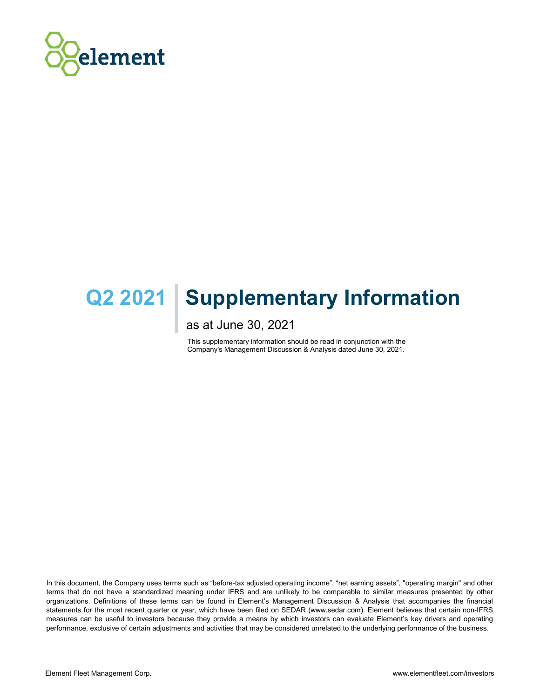

# **Q2 2021 | Supplementary Information**

as at June 30, 2021

This supplementary information should be read in conjunction with the Company's Management Discussion & Analysis dated June 30, 2021.

In this document, the Company uses terms such as "before-tax adjusted operating income", "net earning assets", "operating margin" and other terms that do not have a standardized meaning under IFRS and are unlikely to be comparable to similar measures presented by other organizations. Definitions of these terms can be found in Element's Management Discussion & Analysis that accompanies the financial statements for the most recent quarter or year, which have been filed on SEDAR (www.sedar.com). Element believes that certain non-IFRS measures can be useful to investors because they provide a means by which investors can evaluate Element's key drivers and operating performance, exclusive of certain adjustments and activities that may be considered unrelated to the underlying performance of the business.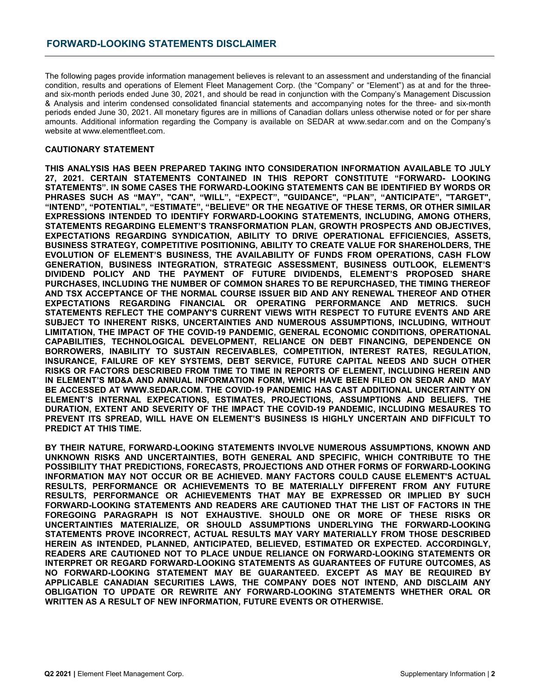The following pages provide information management believes is relevant to an assessment and understanding of the financial condition, results and operations of Element Fleet Management Corp. (the "Company" or "Element") as at and for the threeand six-month periods ended June 30, 2021, and should be read in conjunction with the Company's Management Discussion & Analysis and interim condensed consolidated financial statements and accompanying notes for the three- and six-month periods ended June 30, 2021. All monetary figures are in millions of Canadian dollars unless otherwise noted or for per share amounts. Additional information regarding the Company is available on SEDAR at www.sedar.com and on the Company's website at www.elementfleet.com.

## **CAUTIONARY STATEMENT**

**THIS ANALYSIS HAS BEEN PREPARED TAKING INTO CONSIDERATION INFORMATION AVAILABLE TO JULY 27, 2021. CERTAIN STATEMENTS CONTAINED IN THIS REPORT CONSTITUTE "FORWARD- LOOKING STATEMENTS". IN SOME CASES THE FORWARD-LOOKING STATEMENTS CAN BE IDENTIFIED BY WORDS OR PHRASES SUCH AS "MAY", "CAN", "WILL", "EXPECT", "GUIDANCE", "PLAN", "ANTICIPATE", "TARGET", "INTEND", "POTENTIAL", "ESTIMATE", "BELIEVE" OR THE NEGATIVE OF THESE TERMS, OR OTHER SIMILAR EXPRESSIONS INTENDED TO IDENTIFY FORWARD-LOOKING STATEMENTS, INCLUDING, AMONG OTHERS, STATEMENTS REGARDING ELEMENT'S TRANSFORMATION PLAN, GROWTH PROSPECTS AND OBJECTIVES, EXPECTATIONS REGARDING SYNDICATION, ABILITY TO DRIVE OPERATIONAL EFFICIENCIES, ASSETS, BUSINESS STRATEGY, COMPETITIVE POSITIONING, ABILITY TO CREATE VALUE FOR SHAREHOLDERS, THE EVOLUTION OF ELEMENT'S BUSINESS, THE AVAILABILITY OF FUNDS FROM OPERATIONS, CASH FLOW GENERATION, BUSINESS INTEGRATION, STRATEGIC ASSESSMENT, BUSINESS OUTLOOK, ELEMENT'S DIVIDEND POLICY AND THE PAYMENT OF FUTURE DIVIDENDS, ELEMENT'S PROPOSED SHARE PURCHASES, INCLUDING THE NUMBER OF COMMON SHARES TO BE REPURCHASED, THE TIMING THEREOF AND TSX ACCEPTANCE OF THE NORMAL COURSE ISSUER BID AND ANY RENEWAL THEREOF AND OTHER EXPECTATIONS REGARDING FINANCIAL OR OPERATING PERFORMANCE AND METRICS. SUCH STATEMENTS REFLECT THE COMPANY'S CURRENT VIEWS WITH RESPECT TO FUTURE EVENTS AND ARE SUBJECT TO INHERENT RISKS, UNCERTAINTIES AND NUMEROUS ASSUMPTIONS, INCLUDING, WITHOUT LIMITATION, THE IMPACT OF THE COVID-19 PANDEMIC, GENERAL ECONOMIC CONDITIONS, OPERATIONAL CAPABILITIES, TECHNOLOGICAL DEVELOPMENT, RELIANCE ON DEBT FINANCING, DEPENDENCE ON BORROWERS, INABILITY TO SUSTAIN RECEIVABLES, COMPETITION, INTEREST RATES, REGULATION, INSURANCE, FAILURE OF KEY SYSTEMS, DEBT SERVICE, FUTURE CAPITAL NEEDS AND SUCH OTHER RISKS OR FACTORS DESCRIBED FROM TIME TO TIME IN REPORTS OF ELEMENT, INCLUDING HEREIN AND IN ELEMENT'S MD&A AND ANNUAL INFORMATION FORM, WHICH HAVE BEEN FILED ON SEDAR AND MAY BE ACCESSED AT WWW.SEDAR.COM. THE COVID-19 PANDEMIC HAS CAST ADDITIONAL UNCERTAINTY ON ELEMENT'S INTERNAL EXPECATIONS, ESTIMATES, PROJECTIONS, ASSUMPTIONS AND BELIEFS. THE DURATION, EXTENT AND SEVERITY OF THE IMPACT THE COVID-19 PANDEMIC, INCLUDING MESAURES TO PREVENT ITS SPREAD, WILL HAVE ON ELEMENT'S BUSINESS IS HIGHLY UNCERTAIN AND DIFFICULT TO PREDICT AT THIS TIME.**

**BY THEIR NATURE, FORWARD-LOOKING STATEMENTS INVOLVE NUMEROUS ASSUMPTIONS, KNOWN AND UNKNOWN RISKS AND UNCERTAINTIES, BOTH GENERAL AND SPECIFIC, WHICH CONTRIBUTE TO THE POSSIBILITY THAT PREDICTIONS, FORECASTS, PROJECTIONS AND OTHER FORMS OF FORWARD-LOOKING INFORMATION MAY NOT OCCUR OR BE ACHIEVED. MANY FACTORS COULD CAUSE ELEMENT'S ACTUAL RESULTS, PERFORMANCE OR ACHIEVEMENTS TO BE MATERIALLY DIFFERENT FROM ANY FUTURE RESULTS, PERFORMANCE OR ACHIEVEMENTS THAT MAY BE EXPRESSED OR IMPLIED BY SUCH FORWARD-LOOKING STATEMENTS AND READERS ARE CAUTIONED THAT THE LIST OF FACTORS IN THE FOREGOING PARAGRAPH IS NOT EXHAUSTIVE. SHOULD ONE OR MORE OF THESE RISKS OR UNCERTAINTIES MATERIALIZE, OR SHOULD ASSUMPTIONS UNDERLYING THE FORWARD-LOOKING STATEMENTS PROVE INCORRECT, ACTUAL RESULTS MAY VARY MATERIALLY FROM THOSE DESCRIBED HEREIN AS INTENDED, PLANNED, ANTICIPATED, BELIEVED, ESTIMATED OR EXPECTED. ACCORDINGLY, READERS ARE CAUTIONED NOT TO PLACE UNDUE RELIANCE ON FORWARD-LOOKING STATEMENTS OR INTERPRET OR REGARD FORWARD-LOOKING STATEMENTS AS GUARANTEES OF FUTURE OUTCOMES, AS NO FORWARD-LOOKING STATEMENT MAY BE GUARANTEED. EXCEPT AS MAY BE REQUIRED BY APPLICABLE CANADIAN SECURITIES LAWS, THE COMPANY DOES NOT INTEND, AND DISCLAIM ANY OBLIGATION TO UPDATE OR REWRITE ANY FORWARD-LOOKING STATEMENTS WHETHER ORAL OR WRITTEN AS A RESULT OF NEW INFORMATION, FUTURE EVENTS OR OTHERWISE.**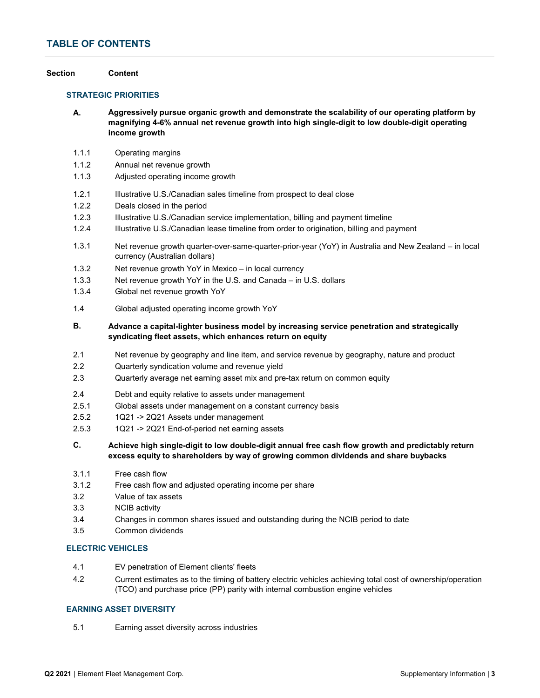# **TABLE OF CONTENTS**

#### **Section Content**

### **STRATEGIC PRIORITIES**

- **A. Aggressively pursue organic growth and demonstrate the scalability of our operating platform by magnifying 4-6% annual net revenue growth into high single-digit to low double-digit operating income growth**
- 1.1.1 Operating margins
- 1.1.2 Annual net revenue growth
- 1.1.3 Adjusted operating income growth
- 1.2.1 Illustrative U.S./Canadian sales timeline from prospect to deal close
- 1.2.2 Deals closed in the period
- 1.2.3 Illustrative U.S./Canadian service implementation, billing and payment timeline
- 1.2.4 Illustrative U.S./Canadian lease timeline from order to origination, billing and payment
- 1.3.1 Net revenue growth quarter-over-same-quarter-prior-year (YoY) in Australia and New Zealand – in local currency (Australian dollars)
- 1.3.2 Net revenue growth YoY in Mexico in local currency
- 1.3.3 Net revenue growth YoY in the U.S. and Canada in U.S. dollars
- 1.3.4 Global net revenue growth YoY
- 1.4 Global adjusted operating income growth YoY
- **B. Advance a capital-lighter business model by increasing service penetration and strategically syndicating fleet assets, which enhances return on equity**
- 2.1 Net revenue by geography and line item, and service revenue by geography, nature and product
- 2.2 Quarterly syndication volume and revenue yield
- 2.3 Quarterly average net earning asset mix and pre-tax return on common equity
- 2.4 Debt and equity relative to assets under management
- 2.5.1 Global assets under management on a constant currency basis
- 2.5.2 1Q21 -> 2Q21 Assets under management
- 2.5.3 1Q21 -> 2Q21 End-of-period net earning assets
- **C. Achieve high single-digit to low double-digit annual free cash flow growth and predictably return excess equity to shareholders by way of growing common dividends and share buybacks**
- 3.1.1 Free cash flow
- 3.1.2 Free cash flow and adjusted operating income per share
- 3.2 Value of tax assets
- 3.3 NCIB activity
- 3.4 Changes in common shares issued and outstanding during the NCIB period to date
- 3.5 Common dividends

## **ELECTRIC VEHICLES**

- 4.1 EV penetration of Element clients' fleets
- 4.2 Current estimates as to the timing of battery electric vehicles achieving total cost of ownership/operation (TCO) and purchase price (PP) parity with internal combustion engine vehicles

## **EARNING ASSET DIVERSITY**

5.1 Earning asset diversity across industries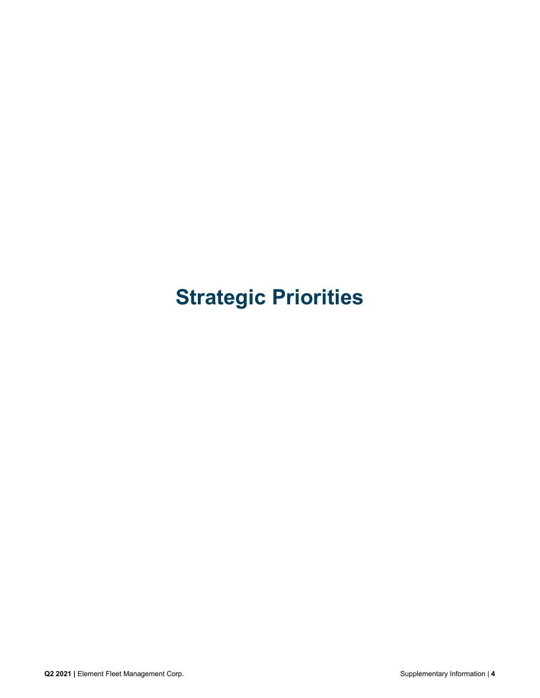# **Strategic Priorities**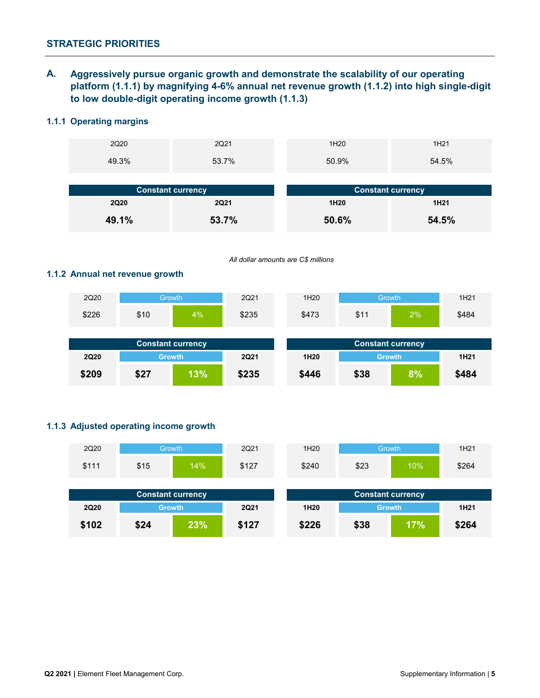**A. Aggressively pursue organic growth and demonstrate the scalability of our operating platform (1.1.1) by magnifying 4-6% annual net revenue growth (1.1.2) into high single-digit to low double-digit operating income growth (1.1.3)**

# **1.1.1 Operating margins**

| 2Q20        | 2Q21                     | 1H <sub>20</sub> | 1H <sub>21</sub>         |
|-------------|--------------------------|------------------|--------------------------|
| 49.3%       | 53.7%                    | 50.9%            | 54.5%                    |
|             |                          |                  |                          |
|             |                          |                  |                          |
|             | <b>Constant currency</b> |                  | <b>Constant currency</b> |
| <b>2Q20</b> | <b>2Q21</b>              | 1H <sub>20</sub> | 1H <sub>21</sub>         |

*All dollar amounts are C\$ millions*

# **1.1.2 Annual net revenue growth**

| 2Q20        | Growth                   |    | 2Q21        | 1H20             |                          | <b>Growth</b> | 1H <sub>21</sub> |
|-------------|--------------------------|----|-------------|------------------|--------------------------|---------------|------------------|
| \$226       | \$10                     | 4% | \$235       | \$473            | \$11                     | 2%            | \$484            |
|             |                          |    |             |                  |                          |               |                  |
|             |                          |    |             |                  |                          |               |                  |
|             | <b>Constant currency</b> |    |             |                  | <b>Constant currency</b> |               |                  |
| <b>2Q20</b> | <b>Growth</b>            |    | <b>2Q21</b> | 1H <sub>20</sub> | <b>Growth</b>            |               | 1H <sub>21</sub> |

# **1.1.3 Adjusted operating income growth**

| 2Q20        | <b>Growth</b> |                          | 2Q21        | 1H <sub>20</sub> | <b>Growth</b>            |  | 1H21             |
|-------------|---------------|--------------------------|-------------|------------------|--------------------------|--|------------------|
| \$111       | \$15          | 14%                      | \$127       | \$240            | \$23<br>10%              |  | \$264            |
|             |               |                          |             |                  |                          |  |                  |
|             |               |                          |             |                  |                          |  |                  |
|             |               | <b>Constant currency</b> |             |                  | <b>Constant currency</b> |  |                  |
| <b>2Q20</b> | <b>Growth</b> |                          | <b>2Q21</b> | 1H <sub>20</sub> | <b>Growth</b>            |  | 1H <sub>21</sub> |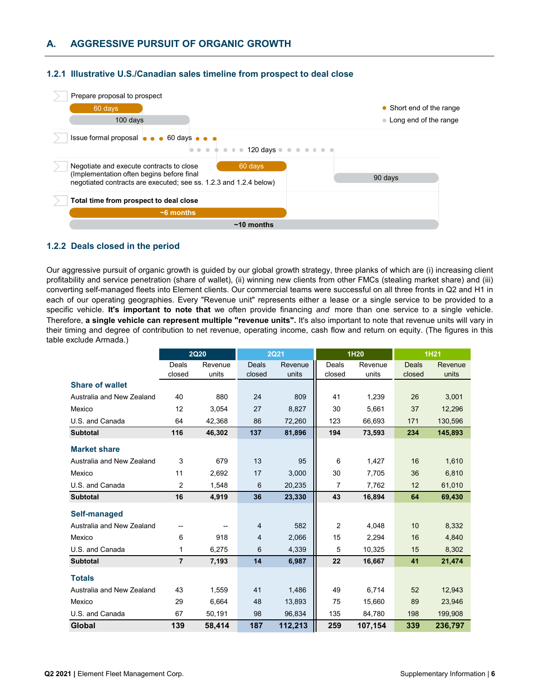

## **1.2.1 Illustrative U.S./Canadian sales timeline from prospect to deal close**

## **1.2.2 Deals closed in the period**

Our aggressive pursuit of organic growth is guided by our global growth strategy, three planks of which are (i) increasing client profitability and service penetration (share of wallet), (ii) winning new clients from other FMCs (stealing market share) and (iii) converting self-managed fleets into Element clients. Our commercial teams were successful on all three fronts in Q2 and H1 in each of our operating geographies. Every "Revenue unit" represents either a lease or a single service to be provided to a specific vehicle. **It's important to note that** we often provide financing *and* more than one service to a single vehicle. Therefore, **a single vehicle can represent multiple "revenue units".** It's also important to note that revenue units will vary in their timing and degree of contribution to net revenue, operating income, cash flow and return on equity. (The figures in this table exclude Armada.)

|                           |                 | <b>2Q20</b>      |                 | <b>2Q21</b>      | 1H20            |                  |                 | <b>1H21</b>      |
|---------------------------|-----------------|------------------|-----------------|------------------|-----------------|------------------|-----------------|------------------|
|                           | Deals<br>closed | Revenue<br>units | Deals<br>closed | Revenue<br>units | Deals<br>closed | Revenue<br>units | Deals<br>closed | Revenue<br>units |
| <b>Share of wallet</b>    |                 |                  |                 |                  |                 |                  |                 |                  |
| Australia and New Zealand | 40              | 880              | 24              | 809              | 41              | 1,239            | 26              | 3,001            |
| Mexico                    | 12              | 3,054            | 27              | 8,827            | 30              | 5,661            | 37              | 12,296           |
| U.S. and Canada           | 64              | 42,368           | 86              | 72,260           | 123             | 66,693           | 171             | 130,596          |
| <b>Subtotal</b>           | 116             | 46,302           | 137             | 81,896           | 194             | 73,593           | 234             | 145,893          |
| <b>Market share</b>       |                 |                  |                 |                  |                 |                  |                 |                  |
| Australia and New Zealand | 3               | 679              | 13              | 95               | 6               | 1,427            | 16              | 1,610            |
| Mexico                    | 11              | 2,692            | 17              | 3.000            | 30              | 7,705            | 36              | 6,810            |
| U.S. and Canada           | 2               | 1,548            | 6               | 20,235           | $\overline{7}$  | 7,762            | 12              | 61,010           |
| <b>Subtotal</b>           | 16              | 4,919            | 36              | 23,330           | 43              | 16,894           | 64              | 69,430           |
| Self-managed              |                 |                  |                 |                  |                 |                  |                 |                  |
| Australia and New Zealand |                 |                  | $\overline{4}$  | 582              | $\overline{2}$  | 4,048            | 10              | 8,332            |
| Mexico                    | 6               | 918              | 4               | 2,066            | 15              | 2,294            | 16              | 4,840            |
| U.S. and Canada           | 1               | 6,275            | 6               | 4,339            | 5               | 10,325           | 15              | 8,302            |
| <b>Subtotal</b>           | $\overline{7}$  | 7,193            | 14              | 6,987            | 22              | 16,667           | 41              | 21,474           |
| <b>Totals</b>             |                 |                  |                 |                  |                 |                  |                 |                  |
| Australia and New Zealand | 43              | 1,559            | 41              | 1,486            | 49              | 6,714            | 52              | 12,943           |
| Mexico                    | 29              | 6,664            | 48              | 13,893           | 75              | 15,660           | 89              | 23,946           |
| U.S. and Canada           | 67              | 50,191           | 98              | 96,834           | 135             | 84,780           | 198             | 199,908          |
| Global                    | 139             | 58,414           | 187             | 112,213          | 259             | 107,154          | 339             | 236,797          |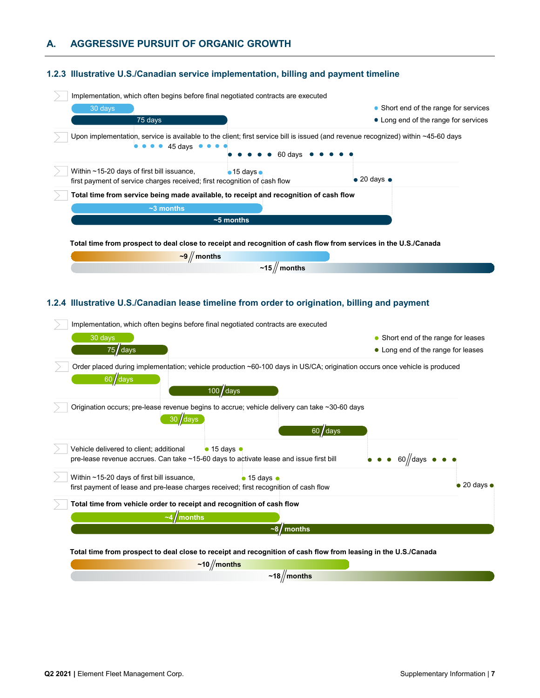# **A. AGGRESSIVE PURSUIT OF ORGANIC GROWTH**

# **1.2.3 Illustrative U.S./Canadian service implementation, billing and payment timeline**

| Implementation, which often begins before final negotiated contracts are executed                                             |                                                                                                                                              |
|-------------------------------------------------------------------------------------------------------------------------------|----------------------------------------------------------------------------------------------------------------------------------------------|
| 30 days                                                                                                                       | • Short end of the range for services                                                                                                        |
| 75 days                                                                                                                       | • Long end of the range for services                                                                                                         |
| 45 days ●                                                                                                                     | Upon implementation, service is available to the client; first service bill is issued (and revenue recognized) within ~45-60 days<br>60 davs |
| Within $\sim$ 15-20 days of first bill issuance,<br>first payment of service charges received; first recognition of cash flow | $\bullet$ 15 days $\bullet$<br>$\bullet$ 20 days $\bullet$                                                                                   |
| Total time from service being made available, to receipt and recognition of cash flow                                         |                                                                                                                                              |
| $~1$ months                                                                                                                   |                                                                                                                                              |
| $\sim$ 5 months                                                                                                               |                                                                                                                                              |
|                                                                                                                               | Total time from prospect to deal close to receipt and recognition of cash flow from services in the U.S./Canada                              |
| $-9$ / months                                                                                                                 |                                                                                                                                              |
|                                                                                                                               | $\sim$ 15 // months                                                                                                                          |

# **1.2.4 Illustrative U.S./Canadian lease timeline from order to origination, billing and payment**

| Implementation, which often begins before final negotiated contracts are executed                                                                                           |                             |
|-----------------------------------------------------------------------------------------------------------------------------------------------------------------------------|-----------------------------|
| $30$ days<br>• Short end of the range for leases                                                                                                                            |                             |
| $75$ days<br>• Long end of the range for leases                                                                                                                             |                             |
| Order placed during implementation; vehicle production ~60-100 days in US/CA; origination occurs once vehicle is produced<br>$60$ days<br>$100 / \text{days}$               |                             |
| Origination occurs; pre-lease revenue begins to accrue; vehicle delivery can take ~30-60 days<br>$30$ days<br>$60$ days                                                     |                             |
| $\bullet$ 15 days $\bullet$<br>Vehicle delivered to client; additional<br>pre-lease revenue accrues. Can take ~15-60 days to activate lease and issue first bill<br>60 //da |                             |
| Within $\sim$ 15-20 days of first bill issuance,<br>$\bullet$ 15 days $\bullet$<br>first payment of lease and pre-lease charges received; first recognition of cash flow    | $\bullet$ 20 days $\bullet$ |
| Total time from vehicle order to receipt and recognition of cash flow                                                                                                       |                             |
| months                                                                                                                                                                      |                             |
| months                                                                                                                                                                      |                             |
|                                                                                                                                                                             |                             |

**Total time from prospect to deal close to receipt and recognition of cash flow from leasing in the U.S./Canada**

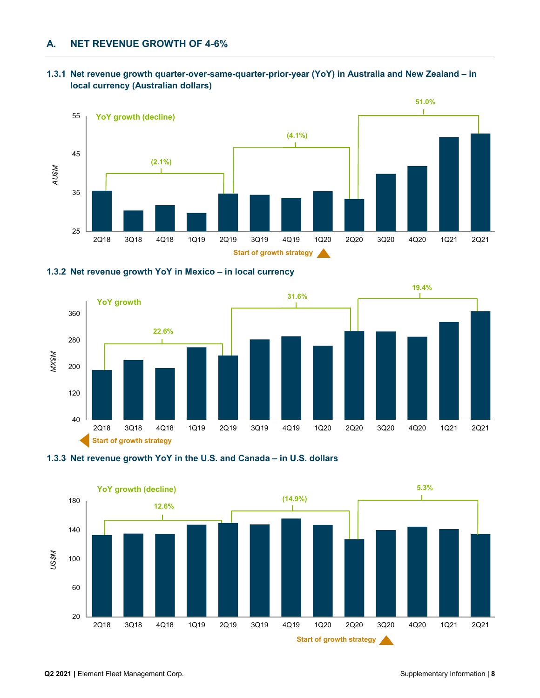# **1.3.1 Net revenue growth quarter-over-same-quarter-prior-year (YoY) in Australia and New Zealand – in local currency (Australian dollars)**



# **1.3.2 Net revenue growth YoY in Mexico – in local currency**





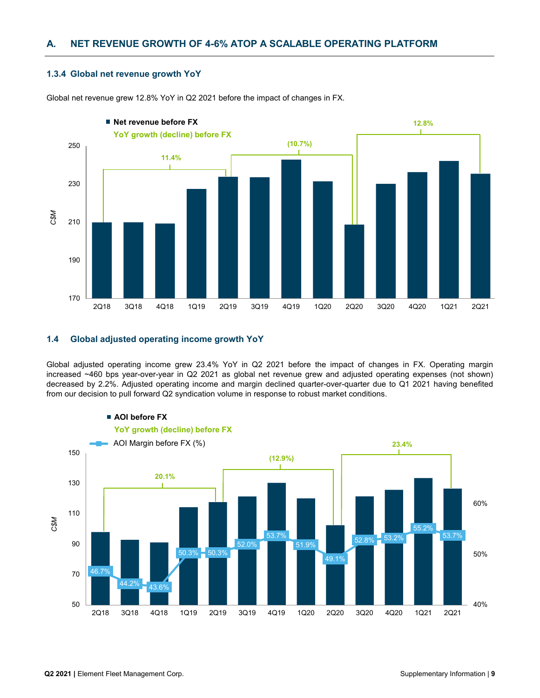# **A. NET REVENUE GROWTH OF 4-6% ATOP A SCALABLE OPERATING PLATFORM**

## **1.3.4 Global net revenue growth YoY**



Global net revenue grew 12.8% YoY in Q2 2021 before the impact of changes in FX.

## **1.4 Global adjusted operating income growth YoY**

Global adjusted operating income grew 23.4% YoY in Q2 2021 before the impact of changes in FX. Operating margin increased ~460 bps year-over-year in Q2 2021 as global net revenue grew and adjusted operating expenses (not shown) decreased by 2.2%. Adjusted operating income and margin declined quarter-over-quarter due to Q1 2021 having benefited from our decision to pull forward Q2 syndication volume in response to robust market conditions.

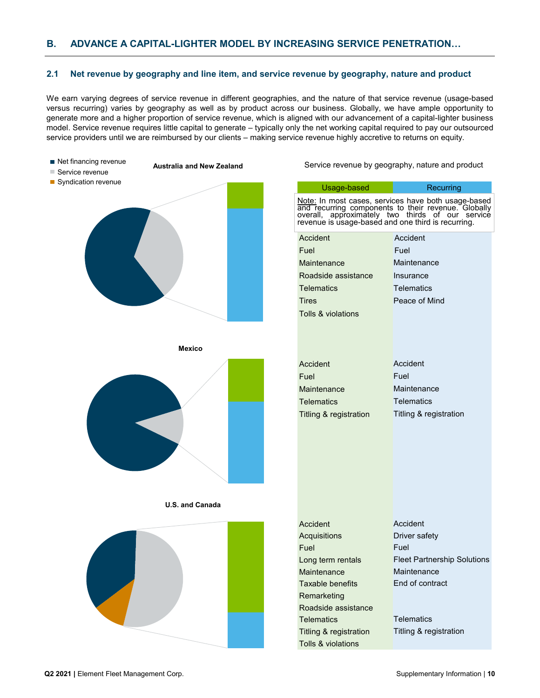# **B. ADVANCE A CAPITAL-LIGHTER MODEL BY INCREASING SERVICE PENETRATION…**

#### **2.1 Net revenue by geography and line item, and service revenue by geography, nature and product**

We earn varying degrees of service revenue in different geographies, and the nature of that service revenue (usage-based versus recurring) varies by geography as well as by product across our business. Globally, we have ample opportunity to generate more and a higher proportion of service revenue, which is aligned with our advancement of a capital-lighter business model. Service revenue requires little capital to generate – typically only the net working capital required to pay our outsourced service providers until we are reimbursed by our clients – making service revenue highly accretive to returns on equity.

- Net financing revenue
- **Australia and New Zealand**
- Service revenue Syndication revenue



**Mexico**



|       |                               | Note: In most cases, services have both usage-based<br>and recurring components to their revenue. Globally<br>overall, approximately two thirds of our service<br>revenue is usage-based and one third is recurring. |
|-------|-------------------------------|----------------------------------------------------------------------------------------------------------------------------------------------------------------------------------------------------------------------|
|       | Accident                      | Accident                                                                                                                                                                                                             |
| Fuel  |                               | Fuel                                                                                                                                                                                                                 |
|       | Maintenance                   | Maintenance                                                                                                                                                                                                          |
|       | Roadside assistance           | Insurance                                                                                                                                                                                                            |
|       | <b>Telematics</b>             | <b>Telematics</b>                                                                                                                                                                                                    |
| Tires |                               | Peace of Mind                                                                                                                                                                                                        |
|       | Tolls & violations            |                                                                                                                                                                                                                      |
|       |                               |                                                                                                                                                                                                                      |
|       | Accident                      | Accident                                                                                                                                                                                                             |
| Fuel  |                               | Fuel                                                                                                                                                                                                                 |
|       | Maintenance                   | Maintenance                                                                                                                                                                                                          |
|       | Telematics                    | Telematics                                                                                                                                                                                                           |
|       | Titling & registration        | Titling & registration                                                                                                                                                                                               |
|       |                               |                                                                                                                                                                                                                      |
|       |                               |                                                                                                                                                                                                                      |
|       |                               |                                                                                                                                                                                                                      |
|       |                               |                                                                                                                                                                                                                      |
|       |                               |                                                                                                                                                                                                                      |
|       |                               |                                                                                                                                                                                                                      |
|       |                               |                                                                                                                                                                                                                      |
|       |                               |                                                                                                                                                                                                                      |
|       | Accident                      | Accident                                                                                                                                                                                                             |
| Fuel  | Acquisitions                  | Driver safety<br>Fuel                                                                                                                                                                                                |
|       | Long term rentals             | <b>Fleet Partnership Solutions</b>                                                                                                                                                                                   |
|       | Maintenance                   | Maintenance                                                                                                                                                                                                          |
|       | Taxable benefits              | End of contract                                                                                                                                                                                                      |
|       | Remarketing                   |                                                                                                                                                                                                                      |
|       | Roadside assistance           |                                                                                                                                                                                                                      |
|       | Telematics                    | Telematics                                                                                                                                                                                                           |
|       | Titling & registration        | Titling & registration                                                                                                                                                                                               |
|       | <b>Tolls &amp; violations</b> |                                                                                                                                                                                                                      |



**U.S. and Canada**

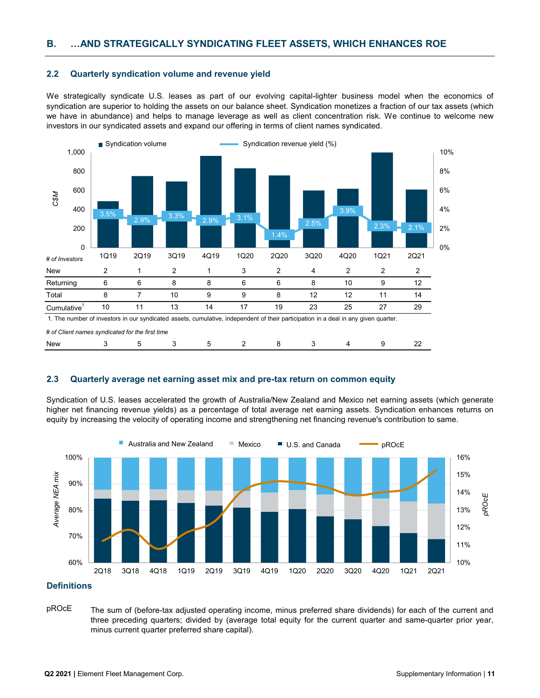## **2.2 Quarterly syndication volume and revenue yield**

We strategically syndicate U.S. leases as part of our evolving capital-lighter business model when the economics of syndication are superior to holding the assets on our balance sheet. Syndication monetizes a fraction of our tax assets (which we have in abundance) and helps to manage leverage as well as client concentration risk. We continue to welcome new investors in our syndicated assets and expand our offering in terms of client names syndicated.



*# of Client names syndicated for the first time*

### **2.3 Quarterly average net earning asset mix and pre-tax return on common equity**

New 3 5 3 5 2 8 3 4 9 22

Syndication of U.S. leases accelerated the growth of Australia/New Zealand and Mexico net earning assets (which generate higher net financing revenue yields) as a percentage of total average net earning assets. Syndication enhances returns on equity by increasing the velocity of operating income and strengthening net financing revenue's contribution to same.



#### **Definitions**

pROcE The sum of (before-tax adjusted operating income, minus preferred share dividends) for each of the current and three preceding quarters; divided by (average total equity for the current quarter and same-quarter prior year, minus current quarter preferred share capital).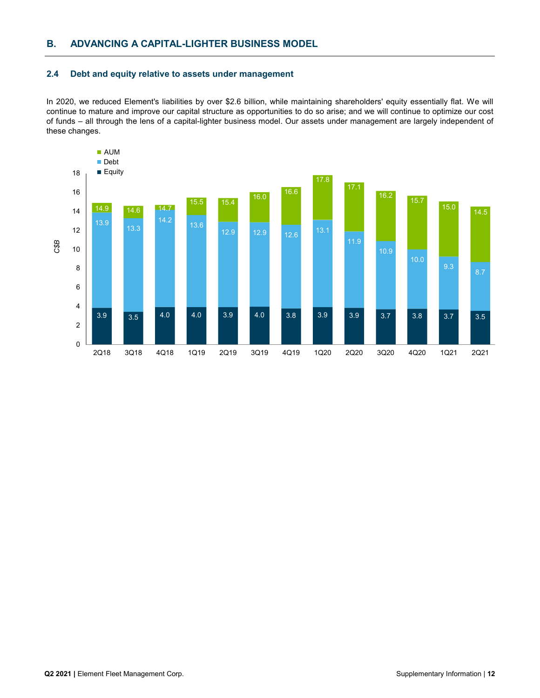## **2.4 Debt and equity relative to assets under management**

In 2020, we reduced Element's liabilities by over \$2.6 billion, while maintaining shareholders' equity essentially flat. We will continue to mature and improve our capital structure as opportunities to do so arise; and we will continue to optimize our cost of funds – all through the lens of a capital-lighter business model. Our assets under management are largely independent of these changes.

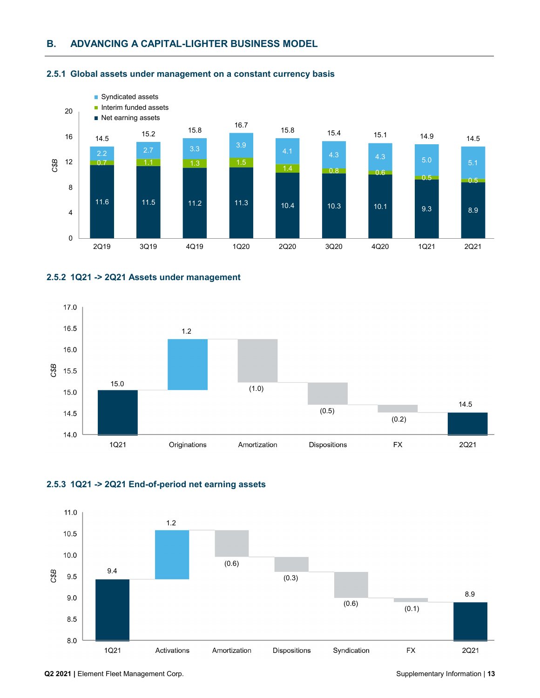

## **2.5.1 Global assets under management on a constant currency basis**







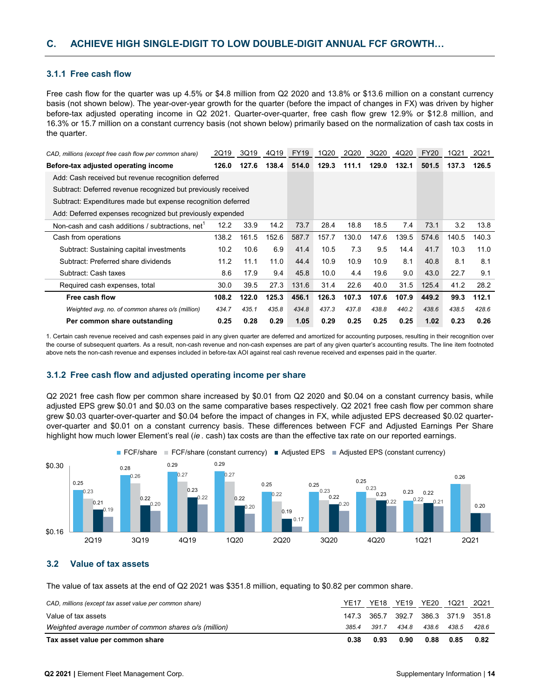### **3.1.1 Free cash flow**

Free cash flow for the quarter was up 4.5% or \$4.8 million from Q2 2020 and 13.8% or \$13.6 million on a constant currency basis (not shown below). The year-over-year growth for the quarter (before the impact of changes in FX) was driven by higher before-tax adjusted operating income in Q2 2021. Quarter-over-quarter, free cash flow grew 12.9% or \$12.8 million, and 16.3% or 15.7 million on a constant currency basis (not shown below) primarily based on the normalization of cash tax costs in the quarter.

| CAD, millions (except free cash flow per common share)        | 2Q19  | 3Q19  | 4Q19  | <b>FY19</b> | 1Q20  | 2Q20  | 3Q20  | 4Q20  | <b>FY20</b> | 1Q21  | 2Q21  |
|---------------------------------------------------------------|-------|-------|-------|-------------|-------|-------|-------|-------|-------------|-------|-------|
| Before-tax adjusted operating income                          | 126.0 | 127.6 | 138.4 | 514.0       | 129.3 | 111.1 | 129.0 | 132.1 | 501.5       | 137.3 | 126.5 |
| Add: Cash received but revenue recognition deferred           |       |       |       |             |       |       |       |       |             |       |       |
| Subtract: Deferred revenue recognized but previously received |       |       |       |             |       |       |       |       |             |       |       |
| Subtract: Expenditures made but expense recognition deferred  |       |       |       |             |       |       |       |       |             |       |       |
| Add: Deferred expenses recognized but previously expended     |       |       |       |             |       |       |       |       |             |       |       |
| Non-cash and cash additions / subtractions, net               | 12.2  | 33.9  | 14.2  | 73.7        | 28.4  | 18.8  | 18.5  | 7.4   | 73.1        | 3.2   | 13.8  |
| Cash from operations                                          | 138.2 | 161.5 | 152.6 | 587.7       | 157.7 | 130.0 | 147.6 | 139.5 | 574.6       | 140.5 | 140.3 |
| Subtract: Sustaining capital investments                      | 10.2  | 10.6  | 6.9   | 41.4        | 10.5  | 7.3   | 9.5   | 14.4  | 41.7        | 10.3  | 11.0  |
| Subtract: Preferred share dividends                           | 11.2  | 11.1  | 11.0  | 44.4        | 10.9  | 10.9  | 10.9  | 8.1   | 40.8        | 8.1   | 8.1   |
| Subtract: Cash taxes                                          | 8.6   | 17.9  | 9.4   | 45.8        | 10.0  | 4.4   | 19.6  | 9.0   | 43.0        | 22.7  | 9.1   |
| Required cash expenses, total                                 | 30.0  | 39.5  | 27.3  | 131.6       | 31.4  | 22.6  | 40.0  | 31.5  | 125.4       | 41.2  | 28.2  |
| Free cash flow                                                | 108.2 | 122.0 | 125.3 | 456.1       | 126.3 | 107.3 | 107.6 | 107.9 | 449.2       | 99.3  | 112.1 |
| Weighted avg. no. of common shares o/s (million)              | 434.7 | 435.1 | 435.8 | 434.8       | 437.3 | 437.8 | 438.8 | 440.2 | 438.6       | 438.5 | 428.6 |
| Per common share outstanding                                  | 0.25  | 0.28  | 0.29  | 1.05        | 0.29  | 0.25  | 0.25  | 0.25  | 1.02        | 0.23  | 0.26  |

1. Certain cash revenue received and cash expenses paid in any given quarter are deferred and amortized for accounting purposes, resulting in their recognition over the course of subsequent quarters. As a result, non-cash revenue and non-cash expenses are part of any given quarter's accounting results. The line item footnoted above nets the non-cash revenue and expenses included in before-tax AOI against real cash revenue received and expenses paid in the quarter.

### **3.1.2 Free cash flow and adjusted operating income per share**

Q2 2021 free cash flow per common share increased by \$0.01 from Q2 2020 and \$0.04 on a constant currency basis, while adjusted EPS grew \$0.01 and \$0.03 on the same comparative bases respectively. Q2 2021 free cash flow per common share grew \$0.03 quarter-over-quarter and \$0.04 before the impact of changes in FX, while adjusted EPS decreased \$0.02 quarterover-quarter and \$0.01 on a constant currency basis. These differences between FCF and Adjusted Earnings Per Share highlight how much lower Element's real (*ie* . cash) tax costs are than the effective tax rate on our reported earnings.





# **3.2 Value of tax assets**

The value of tax assets at the end of Q2 2021 was \$351.8 million, equating to \$0.82 per common share.

| CAD, millions (except tax asset value per common share) | YF17  | YE18  | <b>YE19</b>             | <b>YE20</b> | 1021  | 2Q21  |
|---------------------------------------------------------|-------|-------|-------------------------|-------------|-------|-------|
| Value of tax assets                                     | 147.3 | 365.7 | 392.7 386.3 371.9 351.8 |             |       |       |
| Weighted average number of common shares o/s (million)  | 385.4 | 391.7 | 434.8                   | 438.6       | 438.5 | 428.6 |
| Tax asset value per common share                        | 0.38  | 0.93  | 0.90                    | 0.88        | 0.85  | 0.82  |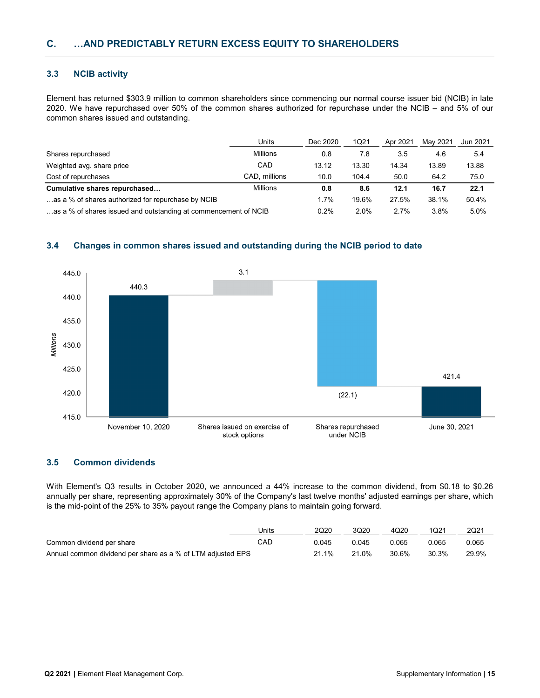## **3.3 NCIB activity**

Element has returned \$303.9 million to common shareholders since commencing our normal course issuer bid (NCIB) in late 2020. We have repurchased over 50% of the common shares authorized for repurchase under the NCIB – and 5% of our common shares issued and outstanding.

|                                                                 | Units           | Dec 2020 | 1Q21  | Apr 2021 | Mav 2021 | Jun 2021 |
|-----------------------------------------------------------------|-----------------|----------|-------|----------|----------|----------|
| Shares repurchased                                              | <b>Millions</b> | 0.8      | 7.8   | 3.5      | 4.6      | 5.4      |
| Weighted avg. share price                                       | CAD             | 13.12    | 13.30 | 14.34    | 13.89    | 13.88    |
| Cost of repurchases                                             | CAD, millions   | 10.0     | 104.4 | 50.0     | 64.2     | 75.0     |
| Cumulative shares repurchased                                   | <b>Millions</b> | 0.8      | 8.6   | 12.1     | 16.7     | 22.1     |
| as a % of shares authorized for repurchase by NCIB              |                 | 1.7%     | 19.6% | 27.5%    | 38.1%    | 50.4%    |
| as a % of shares issued and outstanding at commencement of NCIB |                 | 0.2%     | 2.0%  | 2.7%     | 3.8%     | 5.0%     |

# **3.4 Changes in common shares issued and outstanding during the NCIB period to date**



## **3.5 Common dividends**

With Element's Q3 results in October 2020, we announced a 44% increase to the common dividend, from \$0.18 to \$0.26 annually per share, representing approximately 30% of the Company's last twelve months' adjusted earnings per share, which is the mid-point of the 25% to 35% payout range the Company plans to maintain going forward.

|                                                             | Units | 2Q20  | 3Q20  | 4Q20  | 1Q21  | 2Q21  |
|-------------------------------------------------------------|-------|-------|-------|-------|-------|-------|
| Common dividend per share                                   | CAD   | 0.045 | 0.045 | 0.065 | 0.065 | 0.065 |
| Annual common dividend per share as a % of LTM adjusted EPS |       | 21.1% | 21.0% | 30.6% | 30.3% | 29.9% |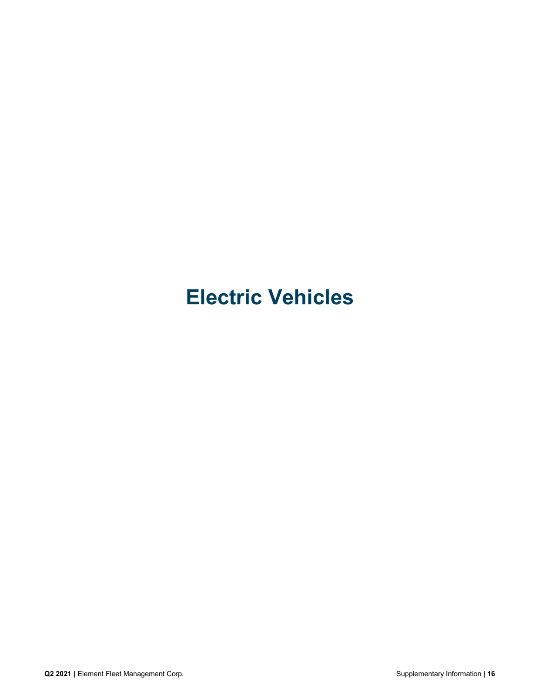# **Electric Vehicles**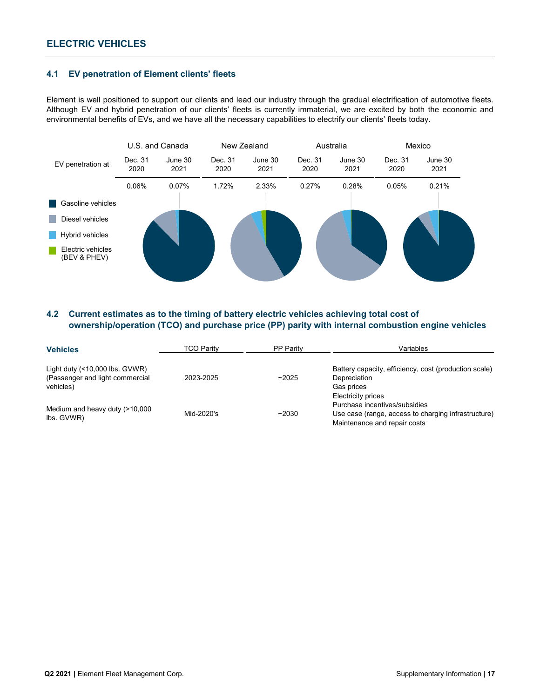# **ELECTRIC VEHICLES**

## **4.1 EV penetration of Element clients' fleets**

Element is well positioned to support our clients and lead our industry through the gradual electrification of automotive fleets. Although EV and hybrid penetration of our clients' fleets is currently immaterial, we are excited by both the economic and environmental benefits of EVs, and we have all the necessary capabilities to electrify our clients' fleets today.



# **4.2 Current estimates as to the timing of battery electric vehicles achieving total cost of ownership/operation (TCO) and purchase price (PP) parity with internal combustion engine vehicles**

| <b>Vehicles</b>                              | <b>TCO Parity</b> | <b>PP Parity</b> | Variables                                                                           |
|----------------------------------------------|-------------------|------------------|-------------------------------------------------------------------------------------|
| Light duty $($ < 10,000 lbs. GVWR)           |                   |                  | Battery capacity, efficiency, cost (production scale)                               |
| (Passenger and light commercial<br>vehicles) | 2023-2025         | ~2025            | Depreciation<br>Gas prices                                                          |
| Medium and heavy duty (>10,000               |                   |                  | Electricity prices<br>Purchase incentives/subsidies                                 |
| lbs. GVWR)                                   | Mid-2020's        | ~2030            | Use case (range, access to charging infrastructure)<br>Maintenance and repair costs |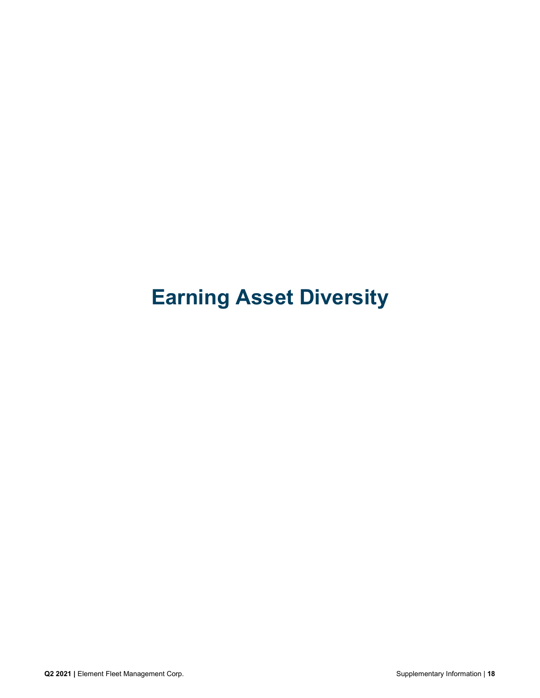# **Earning Asset Diversity**